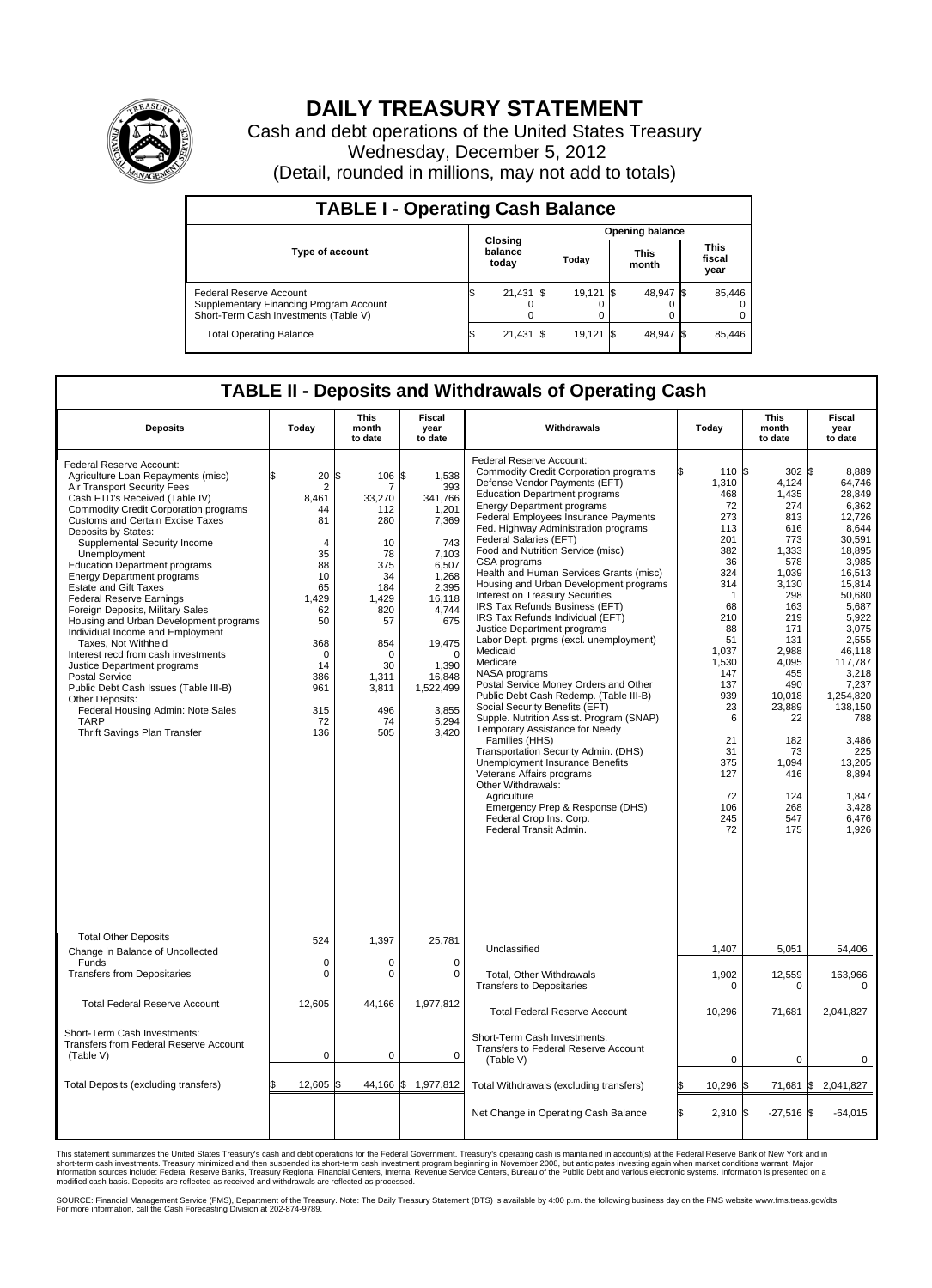

## **DAILY TREASURY STATEMENT**

Cash and debt operations of the United States Treasury Wednesday, December 5, 2012 (Detail, rounded in millions, may not add to totals)

| <b>TABLE I - Operating Cash Balance</b>                                                                     |                             |        |                        |        |                      |           |                               |        |  |  |
|-------------------------------------------------------------------------------------------------------------|-----------------------------|--------|------------------------|--------|----------------------|-----------|-------------------------------|--------|--|--|
|                                                                                                             | Closing<br>balance<br>today |        | <b>Opening balance</b> |        |                      |           |                               |        |  |  |
| <b>Type of account</b>                                                                                      |                             |        | Todav                  |        | <b>This</b><br>month |           | <b>This</b><br>fiscal<br>year |        |  |  |
| Federal Reserve Account<br>Supplementary Financing Program Account<br>Short-Term Cash Investments (Table V) |                             | 21,431 |                        | 19,121 |                      | 48.947 \$ |                               | 85,446 |  |  |
| <b>Total Operating Balance</b>                                                                              |                             | 21,431 |                        | 19,121 |                      | 48.947 \$ |                               | 85,446 |  |  |

## **TABLE II - Deposits and Withdrawals of Operating Cash**

| <b>Deposits</b>                                                                                                                                                                                                                                                                                                                                                                                                                                                                                                                                                                                                                                                                                                                                                                                                                    | Today                                                                                                                                                           | <b>This</b><br>month<br>to date                                                                                                                              | Fiscal<br>year<br>to date                                                                                                                                                                             | Withdrawals                                                                                                                                                                                                                                                                                                                                                                                                                                                                                                                                                                                                                                                                                                                                                                                                                                                                                                                                                                                                                                                                                                                            | Today                                                                                                                                                                                                                   | <b>This</b><br>month<br>to date                                                                                                                                                                                                                | Fiscal<br>year<br>to date                                                                                                                                                                                                                                                                         |  |  |  |  |
|------------------------------------------------------------------------------------------------------------------------------------------------------------------------------------------------------------------------------------------------------------------------------------------------------------------------------------------------------------------------------------------------------------------------------------------------------------------------------------------------------------------------------------------------------------------------------------------------------------------------------------------------------------------------------------------------------------------------------------------------------------------------------------------------------------------------------------|-----------------------------------------------------------------------------------------------------------------------------------------------------------------|--------------------------------------------------------------------------------------------------------------------------------------------------------------|-------------------------------------------------------------------------------------------------------------------------------------------------------------------------------------------------------|----------------------------------------------------------------------------------------------------------------------------------------------------------------------------------------------------------------------------------------------------------------------------------------------------------------------------------------------------------------------------------------------------------------------------------------------------------------------------------------------------------------------------------------------------------------------------------------------------------------------------------------------------------------------------------------------------------------------------------------------------------------------------------------------------------------------------------------------------------------------------------------------------------------------------------------------------------------------------------------------------------------------------------------------------------------------------------------------------------------------------------------|-------------------------------------------------------------------------------------------------------------------------------------------------------------------------------------------------------------------------|------------------------------------------------------------------------------------------------------------------------------------------------------------------------------------------------------------------------------------------------|---------------------------------------------------------------------------------------------------------------------------------------------------------------------------------------------------------------------------------------------------------------------------------------------------|--|--|--|--|
| Federal Reserve Account:<br>Agriculture Loan Repayments (misc)<br>Air Transport Security Fees<br>Cash FTD's Received (Table IV)<br>Commodity Credit Corporation programs<br><b>Customs and Certain Excise Taxes</b><br>Deposits by States:<br>Supplemental Security Income<br>Unemployment<br><b>Education Department programs</b><br><b>Energy Department programs</b><br><b>Estate and Gift Taxes</b><br><b>Federal Reserve Earnings</b><br>Foreign Deposits, Military Sales<br>Housing and Urban Development programs<br>Individual Income and Employment<br>Taxes, Not Withheld<br>Interest recd from cash investments<br>Justice Department programs<br><b>Postal Service</b><br>Public Debt Cash Issues (Table III-B)<br>Other Deposits:<br>Federal Housing Admin: Note Sales<br><b>TARP</b><br>Thrift Savings Plan Transfer | 20<br>ß.<br>$\overline{2}$<br>8,461<br>44<br>81<br>4<br>35<br>88<br>10<br>65<br>1,429<br>62<br>50<br>368<br>$\mathbf 0$<br>14<br>386<br>961<br>315<br>72<br>136 | l\$<br>106<br>7<br>33,270<br>112<br>280<br>10<br>78<br>375<br>34<br>184<br>1,429<br>820<br>57<br>854<br>$\Omega$<br>30<br>1,311<br>3,811<br>496<br>74<br>505 | 1,538<br>\$<br>393<br>341,766<br>1,201<br>7,369<br>743<br>7,103<br>6,507<br>1,268<br>2,395<br>16,118<br>4,744<br>675<br>19,475<br>$\Omega$<br>1.390<br>16,848<br>1,522,499<br>3.855<br>5,294<br>3,420 | Federal Reserve Account:<br><b>Commodity Credit Corporation programs</b><br>Defense Vendor Payments (EFT)<br><b>Education Department programs</b><br><b>Energy Department programs</b><br>Federal Employees Insurance Payments<br>Fed. Highway Administration programs<br>Federal Salaries (EFT)<br>Food and Nutrition Service (misc)<br>GSA programs<br>Health and Human Services Grants (misc)<br>Housing and Urban Development programs<br>Interest on Treasury Securities<br>IRS Tax Refunds Business (EFT)<br>IRS Tax Refunds Individual (EFT)<br>Justice Department programs<br>Labor Dept. prgms (excl. unemployment)<br>Medicaid<br>Medicare<br>NASA programs<br>Postal Service Money Orders and Other<br>Public Debt Cash Redemp. (Table III-B)<br>Social Security Benefits (EFT)<br>Supple. Nutrition Assist. Program (SNAP)<br>Temporary Assistance for Needy<br>Families (HHS)<br>Transportation Security Admin. (DHS)<br><b>Unemployment Insurance Benefits</b><br>Veterans Affairs programs<br>Other Withdrawals:<br>Agriculture<br>Emergency Prep & Response (DHS)<br>Federal Crop Ins. Corp.<br>Federal Transit Admin. | \$<br>110 \$<br>1,310<br>468<br>72<br>273<br>113<br>201<br>382<br>36<br>324<br>314<br>-1<br>68<br>210<br>88<br>51<br>1,037<br>1,530<br>147<br>137<br>939<br>23<br>6<br>21<br>31<br>375<br>127<br>72<br>106<br>245<br>72 | $302$ \$<br>4,124<br>1.435<br>274<br>813<br>616<br>773<br>1,333<br>578<br>1.039<br>3,130<br>298<br>163<br>219<br>171<br>131<br>2,988<br>4,095<br>455<br>490<br>10,018<br>23,889<br>22<br>182<br>73<br>1,094<br>416<br>124<br>268<br>547<br>175 | 8,889<br>64,746<br>28.849<br>6,362<br>12.726<br>8.644<br>30.591<br>18,895<br>3,985<br>16.513<br>15,814<br>50.680<br>5,687<br>5,922<br>3,075<br>2.555<br>46,118<br>117,787<br>3,218<br>7,237<br>1,254,820<br>138,150<br>788<br>3,486<br>225<br>13,205<br>8,894<br>1,847<br>3.428<br>6,476<br>1.926 |  |  |  |  |
| <b>Total Other Deposits</b><br>Change in Balance of Uncollected                                                                                                                                                                                                                                                                                                                                                                                                                                                                                                                                                                                                                                                                                                                                                                    | 524                                                                                                                                                             | 1,397                                                                                                                                                        | 25,781                                                                                                                                                                                                | Unclassified                                                                                                                                                                                                                                                                                                                                                                                                                                                                                                                                                                                                                                                                                                                                                                                                                                                                                                                                                                                                                                                                                                                           | 1,407                                                                                                                                                                                                                   | 5,051                                                                                                                                                                                                                                          | 54,406                                                                                                                                                                                                                                                                                            |  |  |  |  |
| Funds<br><b>Transfers from Depositaries</b>                                                                                                                                                                                                                                                                                                                                                                                                                                                                                                                                                                                                                                                                                                                                                                                        | 0<br>$\overline{0}$                                                                                                                                             | $\mathbf 0$<br>$\mathbf 0$                                                                                                                                   | $\mathbf 0$<br>$\mathbf 0$                                                                                                                                                                            | <b>Total. Other Withdrawals</b><br><b>Transfers to Depositaries</b>                                                                                                                                                                                                                                                                                                                                                                                                                                                                                                                                                                                                                                                                                                                                                                                                                                                                                                                                                                                                                                                                    | 1.902<br>$\mathbf 0$                                                                                                                                                                                                    | 12,559<br>$\mathbf 0$                                                                                                                                                                                                                          | 163.966<br>0                                                                                                                                                                                                                                                                                      |  |  |  |  |
| <b>Total Federal Reserve Account</b>                                                                                                                                                                                                                                                                                                                                                                                                                                                                                                                                                                                                                                                                                                                                                                                               | 12,605                                                                                                                                                          | 44,166                                                                                                                                                       | 1,977,812                                                                                                                                                                                             | <b>Total Federal Reserve Account</b>                                                                                                                                                                                                                                                                                                                                                                                                                                                                                                                                                                                                                                                                                                                                                                                                                                                                                                                                                                                                                                                                                                   | 10,296                                                                                                                                                                                                                  | 71,681                                                                                                                                                                                                                                         | 2.041.827                                                                                                                                                                                                                                                                                         |  |  |  |  |
| Short-Term Cash Investments:<br>Transfers from Federal Reserve Account<br>(Table V)                                                                                                                                                                                                                                                                                                                                                                                                                                                                                                                                                                                                                                                                                                                                                | 0                                                                                                                                                               | 0                                                                                                                                                            | $\Omega$                                                                                                                                                                                              | Short-Term Cash Investments:<br>Transfers to Federal Reserve Account<br>(Table V)                                                                                                                                                                                                                                                                                                                                                                                                                                                                                                                                                                                                                                                                                                                                                                                                                                                                                                                                                                                                                                                      | $\mathbf 0$                                                                                                                                                                                                             | 0                                                                                                                                                                                                                                              | 0                                                                                                                                                                                                                                                                                                 |  |  |  |  |
| Total Deposits (excluding transfers)                                                                                                                                                                                                                                                                                                                                                                                                                                                                                                                                                                                                                                                                                                                                                                                               | 12,605                                                                                                                                                          | l\$<br>44,166                                                                                                                                                | \$<br>1,977,812                                                                                                                                                                                       | Total Withdrawals (excluding transfers)                                                                                                                                                                                                                                                                                                                                                                                                                                                                                                                                                                                                                                                                                                                                                                                                                                                                                                                                                                                                                                                                                                | 10,296 \$                                                                                                                                                                                                               |                                                                                                                                                                                                                                                | 71,681 \$2,041,827                                                                                                                                                                                                                                                                                |  |  |  |  |
|                                                                                                                                                                                                                                                                                                                                                                                                                                                                                                                                                                                                                                                                                                                                                                                                                                    |                                                                                                                                                                 |                                                                                                                                                              |                                                                                                                                                                                                       | Net Change in Operating Cash Balance                                                                                                                                                                                                                                                                                                                                                                                                                                                                                                                                                                                                                                                                                                                                                                                                                                                                                                                                                                                                                                                                                                   | S.<br>2,310 \$                                                                                                                                                                                                          | $-27,516$ \$                                                                                                                                                                                                                                   | $-64,015$                                                                                                                                                                                                                                                                                         |  |  |  |  |

This statement summarizes the United States Treasury's cash and debt operations for the Federal Government. Treasury's operating cash is maintained in account(s) at the Federal Reserve Bank of New York and in<br>short-term ca

SOURCE: Financial Management Service (FMS), Department of the Treasury. Note: The Daily Treasury Statement (DTS) is available by 4:00 p.m. the following business day on the FMS website www.fms.treas.gov/dts.<br>For more infor